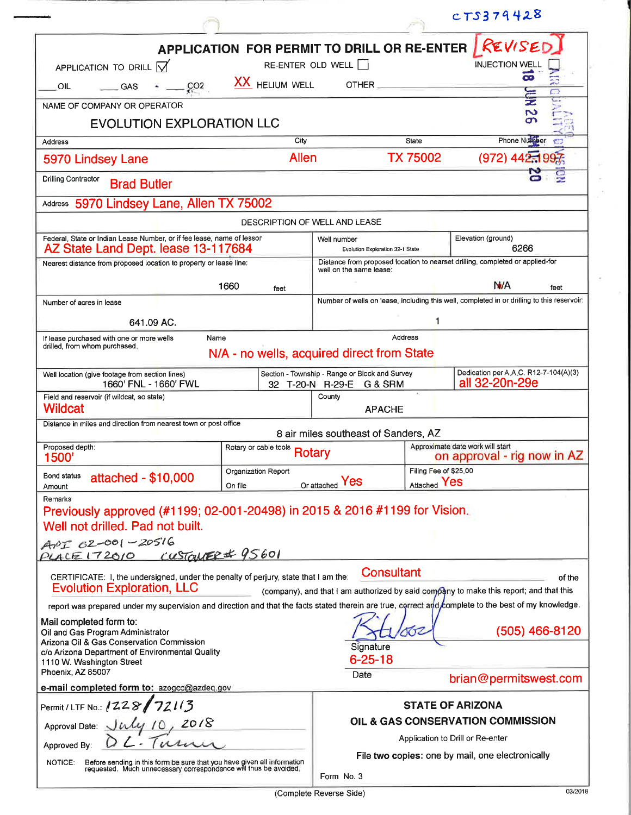|                                                                                                                                                                                                                                                                                                                                                                                                                                                                               |                                                                                                                                              |                                                                               |                                       | CTS379428                                                                                                            |  |  |  |
|-------------------------------------------------------------------------------------------------------------------------------------------------------------------------------------------------------------------------------------------------------------------------------------------------------------------------------------------------------------------------------------------------------------------------------------------------------------------------------|----------------------------------------------------------------------------------------------------------------------------------------------|-------------------------------------------------------------------------------|---------------------------------------|----------------------------------------------------------------------------------------------------------------------|--|--|--|
| APPLICATION TO DRILL $\overrightarrow{V}$<br>CO2<br>OIL<br><b>GAS</b>                                                                                                                                                                                                                                                                                                                                                                                                         | APPLICATION FOR PERMIT TO DRILL OR RE-ENTER<br><b>XX</b> HELIUM WELL                                                                         | RE-ENTER OLD WELL<br>$OTHER$ ___________                                      |                                       | REVISE<br><b>INJECTION WEL</b><br>ಹ                                                                                  |  |  |  |
| NAME OF COMPANY OR OPERATOR                                                                                                                                                                                                                                                                                                                                                                                                                                                   |                                                                                                                                              |                                                                               |                                       | თ                                                                                                                    |  |  |  |
| <b>EVOLUTION EXPLORATION LLC</b>                                                                                                                                                                                                                                                                                                                                                                                                                                              |                                                                                                                                              |                                                                               |                                       |                                                                                                                      |  |  |  |
| <b>Address</b>                                                                                                                                                                                                                                                                                                                                                                                                                                                                | City<br><b>Allen</b>                                                                                                                         |                                                                               | <b>State</b><br>TX 75002              | <b>Phone Number</b><br>$(972)$ 442.                                                                                  |  |  |  |
| 5970 Lindsey Lane                                                                                                                                                                                                                                                                                                                                                                                                                                                             |                                                                                                                                              |                                                                               |                                       |                                                                                                                      |  |  |  |
| <b>Drilling Contractor</b><br><b>Brad Butler</b><br>5970 Lindsey Lane, Allen TX 75002<br>Address                                                                                                                                                                                                                                                                                                                                                                              |                                                                                                                                              |                                                                               |                                       |                                                                                                                      |  |  |  |
|                                                                                                                                                                                                                                                                                                                                                                                                                                                                               | DESCRIPTION OF WELL AND LEASE                                                                                                                |                                                                               |                                       |                                                                                                                      |  |  |  |
| Federal, State or Indian Lease Number, or if fee lease, name of lessor<br>AZ State Land Dept. lease 13-117684                                                                                                                                                                                                                                                                                                                                                                 |                                                                                                                                              | Well number                                                                   |                                       | Elevation (ground)<br>6266                                                                                           |  |  |  |
| Nearest distance from proposed location to property or lease line:                                                                                                                                                                                                                                                                                                                                                                                                            | Evolution Exploration 32-1 State<br>Distance from proposed location to nearset drilling, completed or applied-for<br>well on the same lease: |                                                                               |                                       |                                                                                                                      |  |  |  |
|                                                                                                                                                                                                                                                                                                                                                                                                                                                                               | 1660<br>feet                                                                                                                                 |                                                                               |                                       | N/A<br>feet                                                                                                          |  |  |  |
| Number of acres in lease                                                                                                                                                                                                                                                                                                                                                                                                                                                      |                                                                                                                                              |                                                                               |                                       | Number of wells on lease, including this well, completed in or drilling to this reservoir:                           |  |  |  |
| 641.09 AC.                                                                                                                                                                                                                                                                                                                                                                                                                                                                    |                                                                                                                                              | 1                                                                             |                                       |                                                                                                                      |  |  |  |
| Name<br>If lease purchased with one or more wells<br>drilled, from whom purchased.                                                                                                                                                                                                                                                                                                                                                                                            | N/A - no wells, acquired direct from State                                                                                                   |                                                                               | <b>Address</b>                        |                                                                                                                      |  |  |  |
| Well location (give footage from section lines)<br>1660' FNL - 1660' FWL                                                                                                                                                                                                                                                                                                                                                                                                      |                                                                                                                                              | Section - Township - Range or Block and Survey<br>32 T-20-N R-29-E<br>G & SRM |                                       | Dedication per A.A.C. R12-7-104(A)(3)<br>all 32-20n-29e                                                              |  |  |  |
| Field and reservoir (if wildcat, so state)<br><b>Wildcat</b>                                                                                                                                                                                                                                                                                                                                                                                                                  |                                                                                                                                              | County<br><b>APACHE</b>                                                       |                                       |                                                                                                                      |  |  |  |
| Distance in miles and direction from nearest town or post office                                                                                                                                                                                                                                                                                                                                                                                                              |                                                                                                                                              | 8 air miles southeast of Sanders, AZ                                          |                                       |                                                                                                                      |  |  |  |
| Proposed depth:<br>1500'                                                                                                                                                                                                                                                                                                                                                                                                                                                      | Rotary or cable tools                                                                                                                        | Rotary                                                                        |                                       | Approximate date work will start<br>on approval - rig now in AZ                                                      |  |  |  |
| Bond status<br>attached - \$10,000<br>Amount                                                                                                                                                                                                                                                                                                                                                                                                                                  | Organization Report<br>On file                                                                                                               | Or attached Yes                                                               | Filing Fee of \$25,00<br>Attached Yes |                                                                                                                      |  |  |  |
| Remarks<br>Previously approved (#1199; 02-001-20498) in 2015 & 2016 #1199 for Vision.<br>Well not drilled. Pad not built.<br>ANT 02-001-20516<br>PLACE 172010                                                                                                                                                                                                                                                                                                                 | CUSTOMER # 95601                                                                                                                             |                                                                               |                                       |                                                                                                                      |  |  |  |
| CERTIFICATE: I, the undersigned, under the penalty of perjury, state that I am the:<br><b>Evolution Exploration, LLC</b><br>report was prepared under my supervision and direction and that the facts stated therein are true, correct and complete to the best of my knowledge.<br>Mail completed form to:<br>Oil and Gas Program Administrator<br>Arizona Oil & Gas Conservation Commission<br>c/o Arizona Department of Environmental Quality<br>1110 W. Washington Street |                                                                                                                                              | <b>Consultant</b><br>Signature<br>$6 - 25 - 18$                               | OG.                                   | of the<br>(company), and that I am authorized by said company to make this report; and that this<br>$(505)$ 466-8120 |  |  |  |
| Phoenix, AZ 85007<br>e-mail completed form to: azogcc@azdeq.gov                                                                                                                                                                                                                                                                                                                                                                                                               |                                                                                                                                              | Date                                                                          |                                       | brian@permitswest.com                                                                                                |  |  |  |
| Permit / LTF No.: 1228/72113                                                                                                                                                                                                                                                                                                                                                                                                                                                  |                                                                                                                                              |                                                                               |                                       | <b>STATE OF ARIZONA</b>                                                                                              |  |  |  |
| Approval Date: July 10, 2018                                                                                                                                                                                                                                                                                                                                                                                                                                                  | OIL & GAS CONSERVATION COMMISSION                                                                                                            |                                                                               |                                       |                                                                                                                      |  |  |  |
| Approved By:                                                                                                                                                                                                                                                                                                                                                                                                                                                                  |                                                                                                                                              |                                                                               |                                       | Application to Drill or Re-enter<br>File two copies: one by mail, one electronically                                 |  |  |  |
| Before sending in this form be sure that you have given all information<br>requested. Much unnecessary correspondence will thus be avoided.<br>NOTICE:                                                                                                                                                                                                                                                                                                                        |                                                                                                                                              | Form No. 3                                                                    |                                       |                                                                                                                      |  |  |  |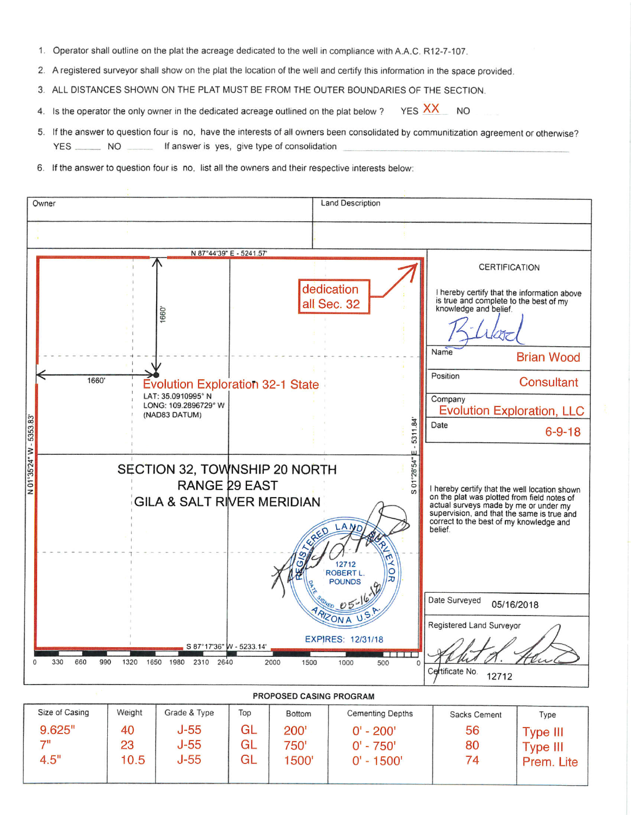- 1. Operator shall outline on the plat the acreage dedicated to the well in compliance with A.A.C. R12-7-107.
- 2. A registered surveyor shall show on the plat the location of the well and certify this information in the space provided.
- 3. ALL DISTANCES SHOWN ON THE PLAT MUST BE FROM THE OUTER BOUNDARIES OF THE SECTION.
- YES XX NO 4. Is the operator the only owner in the dedicated acreage outlined on the plat below?
- 5. If the answer to question four is no, have the interests of all owners been consolidated by communitization agreement or otherwise? YES \_\_\_\_\_\_\_\_ NO \_\_\_\_\_\_\_ If answer is yes, give type of consolidation
- 6. If the answer to question four is no, list all the owners and their respective interests below:

| Owner                             |                                                                                                        | <b>Land Description</b>                                                        |                                                                                                                                                                                                                                                                   |
|-----------------------------------|--------------------------------------------------------------------------------------------------------|--------------------------------------------------------------------------------|-------------------------------------------------------------------------------------------------------------------------------------------------------------------------------------------------------------------------------------------------------------------|
|                                   |                                                                                                        |                                                                                |                                                                                                                                                                                                                                                                   |
|                                   | N 87°44'39" E - 5241.57"                                                                               |                                                                                |                                                                                                                                                                                                                                                                   |
| 1660'<br>1660                     | <b>Evolution Exploration 32-1 State</b><br>LAT: 35.0910995° N<br>LONG: 109.2896729° W<br>(NAD83 DATUM) | dedication<br>all Sec. 32                                                      | <b>CERTIFICATION</b><br>I hereby certify that the information above<br>is true and complete to the best of my<br>knowledge and belief.<br>Name<br><b>Brian Wood</b><br>Position<br><b>Consultant</b><br>Company<br><b>Evolution Exploration, LLC</b>              |
| N 01°35'24" W - 5353.83'          | SECTION 32, TOWNSHIP 20 NORTH<br>RANGE 29 EAST<br><b>GILA &amp; SALT RIVER MERIDIAN</b>                | 5311.84<br>01°28'54"<br>$\omega$<br>LAN<br>12712<br>ROBERT L.<br><b>POUNDS</b> | Date<br>$6 - 9 - 18$<br>I hereby certify that the well location shown<br>on the plat was plotted from field notes of<br>actual surveys made by me or under my<br>supervision, and that the same is true and<br>correct to the best of my knowledge and<br>belief. |
| 660<br>330<br>990<br>1320<br>1650 | S 87°17'36" W - 5233.14"<br>1980<br>2310<br>2640<br>2000                                               | RIZONA<br><b>EXPIRES: 12/31/18</b><br><b>TITTE</b><br>1500<br>1000<br>500      | Date Surveyed<br>05/16/2018<br>Registered Land Surveyor<br>Certificate No.<br>12712                                                                                                                                                                               |

PROPOSED CASING PROGRAM  $C_{\text{rad}}$  & Type  $\frac{1}{\sqrt{2}}$ Т  $D = H$ т  $\overline{C}$ ting Denth

| Size of Casing | Weight | Grade & Type | Top | <b>Bottom</b> | <b>Cementing Depths</b> | Sacks Cement | Type            |
|----------------|--------|--------------|-----|---------------|-------------------------|--------------|-----------------|
| 9.625"         | 40     | $J-55$       | GL  | 200'          | $0' - 200'$             | 56           | <b>Type III</b> |
| 71             | 23     | $J-55$       | GL  | 750'          | $0' - 750'$             | 80           | <b>Type III</b> |
| 4.5"           | 10.5   | $J-55$       | GL  | 1500'         | $0' - 1500'$            | 74           | Prem. Lite      |